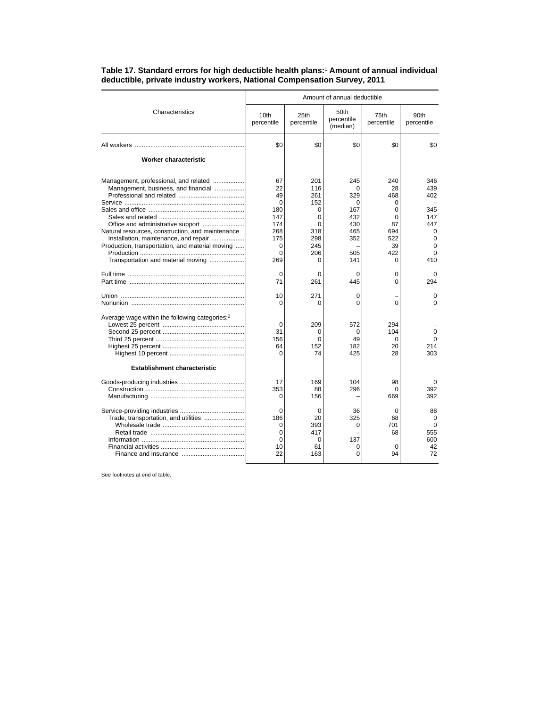|                                                                                                                                  | Amount of annual deductible                       |                                                       |                                                  |                                                     |                                                    |  |
|----------------------------------------------------------------------------------------------------------------------------------|---------------------------------------------------|-------------------------------------------------------|--------------------------------------------------|-----------------------------------------------------|----------------------------------------------------|--|
| Characteristics                                                                                                                  | 10th<br>percentile                                | 25th<br>percentile                                    | 50th<br>percentile<br>(median)                   | 75th<br>percentile                                  | 90th<br>percentile                                 |  |
|                                                                                                                                  | \$0                                               | \$0                                                   | \$0                                              | \$0                                                 | \$0                                                |  |
| <b>Worker characteristic</b>                                                                                                     |                                                   |                                                       |                                                  |                                                     |                                                    |  |
| Management, professional, and related<br>Management, business, and financial<br>Natural resources, construction, and maintenance | 67<br>22<br>49<br>0<br>180<br>147<br>174<br>268   | 201<br>116<br>261<br>152<br>0<br>0<br>$\Omega$<br>318 | 245<br>0<br>329<br>0<br>167<br>432<br>430<br>465 | 240<br>28<br>468<br>0<br>0<br>$\Omega$<br>87<br>694 | 346<br>439<br>402<br>345<br>147<br>447<br>$\Omega$ |  |
| Installation, maintenance, and repair<br>Production, transportation, and material moving<br>Transportation and material moving   | 175<br>0<br>$\Omega$<br>269                       | 298<br>245<br>206<br>0                                | 352<br>505<br>141                                | 522<br>39<br>422<br>$\Omega$                        | $\mathbf 0$<br>$\Omega$<br>$\Omega$<br>410         |  |
|                                                                                                                                  | $\Omega$<br>71                                    | $\Omega$<br>261                                       | 0<br>445                                         | $\Omega$<br>0                                       | $\Omega$<br>294                                    |  |
|                                                                                                                                  | 10<br>$\Omega$                                    | 271<br>0                                              | 0<br>0                                           | 0                                                   | 0<br>$\Omega$                                      |  |
| Average wage within the following categories: <sup>2</sup>                                                                       | $\Omega$<br>31<br>156<br>64<br>$\Omega$           | 209<br>0<br>0<br>152<br>74                            | 572<br>0<br>49<br>182<br>425                     | 294<br>104<br>0<br>20<br>28                         | $\Omega$<br>$\Omega$<br>214<br>303                 |  |
| <b>Establishment characteristic</b>                                                                                              | 17<br>353<br>0                                    | 169<br>88<br>156                                      | 104<br>296                                       | 98<br>$\Omega$<br>669                               | $\Omega$<br>392<br>392                             |  |
| Trade, transportation, and utilities                                                                                             | $\Omega$<br>186<br>$\Omega$<br>0<br>0<br>10<br>22 | 0<br>20<br>393<br>417<br>0<br>61<br>163               | 36<br>325<br>0<br>137<br>0<br>$\Omega$           | $\Omega$<br>68<br>701<br>68<br>$\Omega$<br>94       | 88<br>0<br>$\Omega$<br>555<br>600<br>42<br>72      |  |

## **Table 17. Standard errors for high deductible health plans:**<sup>1</sup>  **Amount of annual individual deductible, private industry workers, National Compensation Survey, 2011**

See footnotes at end of table.